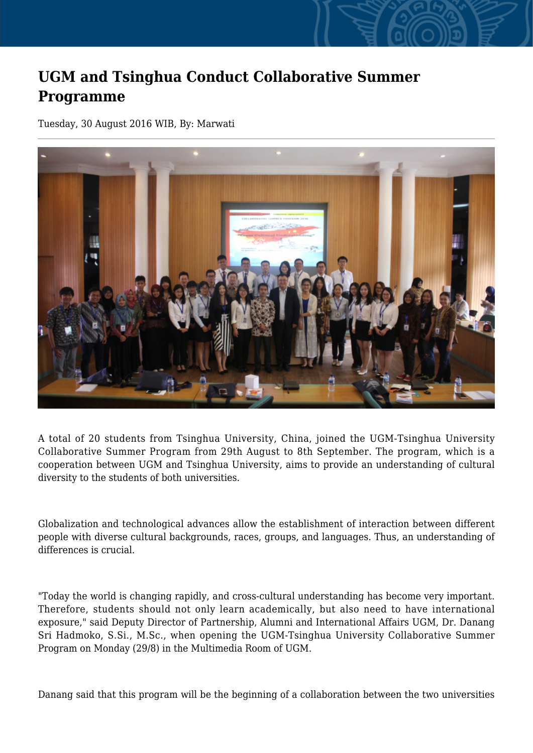## **UGM and Tsinghua Conduct Collaborative Summer Programme**

Tuesday, 30 August 2016 WIB, By: Marwati



A total of 20 students from Tsinghua University, China, joined the UGM-Tsinghua University Collaborative Summer Program from 29th August to 8th September. The program, which is a cooperation between UGM and Tsinghua University, aims to provide an understanding of cultural diversity to the students of both universities.

Globalization and technological advances allow the establishment of interaction between different people with diverse cultural backgrounds, races, groups, and languages. Thus, an understanding of differences is crucial.

"Today the world is changing rapidly, and cross-cultural understanding has become very important. Therefore, students should not only learn academically, but also need to have international exposure," said Deputy Director of Partnership, Alumni and International Affairs UGM, Dr. Danang Sri Hadmoko, S.Si., M.Sc., when opening the UGM-Tsinghua University Collaborative Summer Program on Monday (29/8) in the Multimedia Room of UGM.

Danang said that this program will be the beginning of a collaboration between the two universities